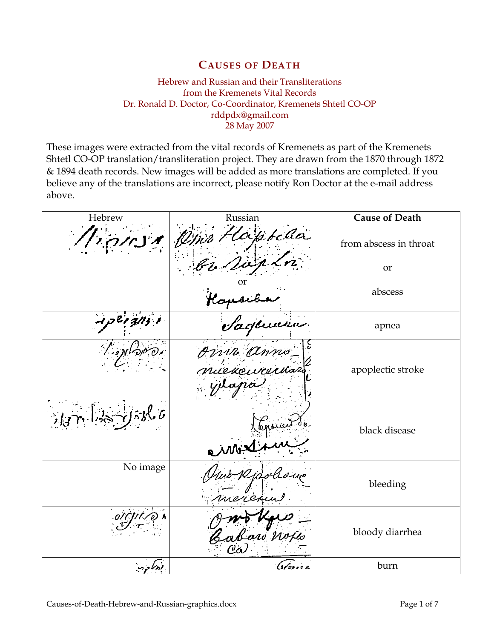## CAUSES OF DEATH

Hebrew and Russian and their Transliterations from the Kremenets Vital Records Dr. Ronald D. Doctor, Co-Coordinator, Kremenets Shtetl CO-OP rddpdx@gmail.com 28 May 2007

These images were extracted from the vital records of Kremenets as part of the Kremenets Shtetl CO-OP translation/transliteration project. They are drawn from the 1870 through 1872 & 1894 death records. New images will be added as more translations are completed. If you believe any of the translations are incorrect, please notify Ron Doctor at the e-mail address above.

| Hebrew    | Russian               | <b>Cause of Death</b>  |
|-----------|-----------------------|------------------------|
|           | 11 Om Haptela         | from abscess in throat |
|           |                       | or                     |
|           |                       | abscess                |
|           |                       | apnea                  |
| Tion Poro | Ropevale              | apoplectic stroke      |
| メイドポロ     | Comment<br>air        | black disease          |
| No image  | Rjoo<br>eren          | bleeding               |
|           | Jwo Row<br>Cabar Woja | bloody diarrhea        |
| أدركه     | Gvm. a                | burn                   |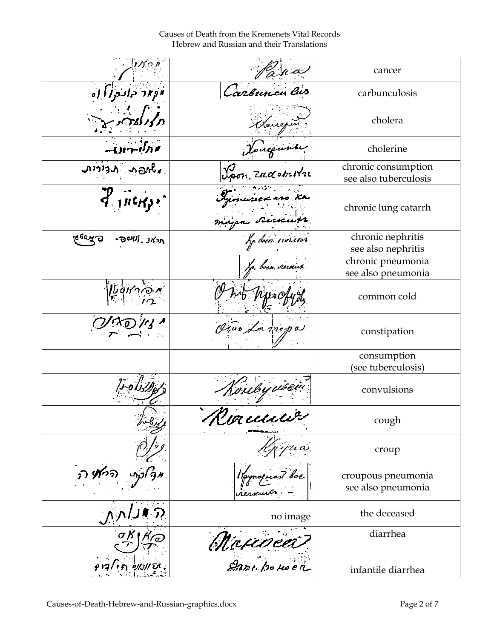Causes of Death from the Kremenets Vital Records Hebrew and Russian and their Translations

| ת מ'מע                                  | Pana                                 | cancer                                       |
|-----------------------------------------|--------------------------------------|----------------------------------------------|
| أواد وادوا اه                           | Caronnen Cus                         | carbunculosis                                |
|                                         | America                              | cholera                                      |
| י תוק⊶וט–                               | Joueume                              | cholerine                                    |
| were reign                              |                                      | chronic consumption<br>see also tuberculosis |
| $\mathcal{F}_{\mu\nu\kappa\rho\sigma}$  | Germaise a aro ka<br>Riccup          | chronic lung catarrh                         |
| ს <sub>მ</sub> იჯა<br><b>CONU. JKON</b> | Le boin noriess                      | chronic nephritis<br>see also nephritis      |
|                                         | Lo. bren. verseus                    | chronic pneumonia<br>see also pneumonia      |
| $\psi$                                  | $\mu \circ \alpha$                   | common cold                                  |
|                                         | Viuo La propu                        | constipation                                 |
|                                         |                                      | consumption<br>(see tuberculosis)            |
| . <i>أ∫ە~د</i>                          | Houley usein                         | convulsions                                  |
|                                         | e Killi el                           | cough                                        |
|                                         |                                      | croup                                        |
|                                         |                                      | croupous pneumonia<br>see also pneumonia     |
|                                         | no image                             | the deceased                                 |
|                                         | (Maxe <i>ocet)</i><br>Enmi po no e a | diarrhea                                     |
|                                         |                                      | infantile diarrhea                           |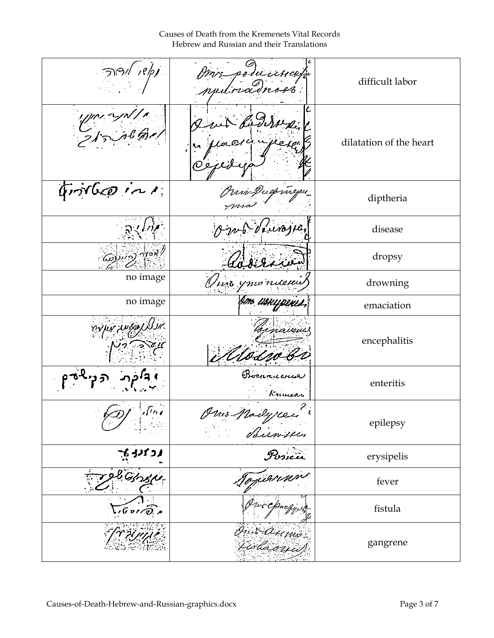Causes of Death from the Kremenets Vital Records Hebrew and Russian and their Translations

| $\mathcal{P}(\mathcal{A})$           | poducional<br>rednament | difficult labor         |
|--------------------------------------|-------------------------|-------------------------|
| ا کران سرد ہوتا ہے<br>بھالی شرح کے ب | 0:                      | dilatation of the heart |
| Grondes in                           | Prince Duckwellen       | diptheria               |
|                                      | mb dinojna,             | disease                 |
| <u>په په کړې ښې</u>                  |                         | dropsy                  |
| no image                             | Vivo ymonica            | drowning                |
| no image                             | Am usuypenes,           | emaciation              |
| jur wsalx                            | navevu                  | encephalitis            |
|                                      | Boenancnue<br>Krimear   | enteritis               |
| $\sqrt{n}$                           | Mus Modyree<br>Surveyor | epilepsy                |
| ्र<br>प्रकार                         |                         | erysipelis              |
| liginsh                              |                         | fever                   |
| $G$ or $\widehat{\mathcal{O}}$ , a   | ws Chuch                | fistula                 |
|                                      | On S. Orms<br>Tislassis | gangrene                |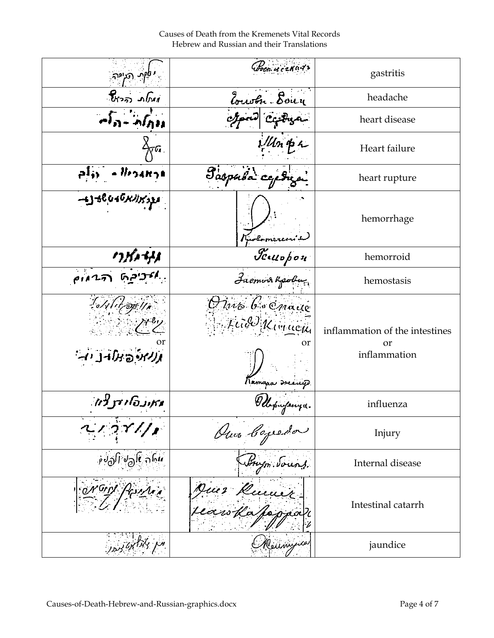Causes of Death from the Kremenets Vital Records Hebrew and Russian and their Translations

| פין תיקיה                        | Poen. u cznadr                     | gastritis                                            |
|----------------------------------|------------------------------------|------------------------------------------------------|
| ומאט דידור                       | Zourth Bour                        | headache                                             |
| $\sigma_{0}$ $\sim$ $\sigma_{0}$ |                                    | heart disease                                        |
| ∕⊼∿                              | $\mathcal{W}$ h pr                 | Heart failure                                        |
| - Iligang <mark>a</mark>         | Paspula capti                      | heart rupture                                        |
| $-138040$ N/X32                  | Kuolomerenis                       | hemorrhage                                           |
| リソバコートリス                         | Jewopon                            | hemorroid                                            |
|                                  | Jacmon Kpobu                       | hemostasis                                           |
| Milit og 11.<br>נגזיה במה נה     | Dino Gocnaue<br>Feid Kinneen<br>or | inflammation of the intestines<br>or<br>inflammation |
| נזקוגדיאנדורזו                   | Kamapa srenip                      | influenza                                            |
| $2\pi/2$                         | Our Copeda                         | Injury                                               |
| ந்சிநி சிதி நார்                 | Anym. Sours.                       | Internal disease                                     |
| Mont Partir                      | Jues Rumir<br>searchapopu          | Intestinal catarrh                                   |
| יתן לדורודו בבתן                 | Meunyun                            | jaundice                                             |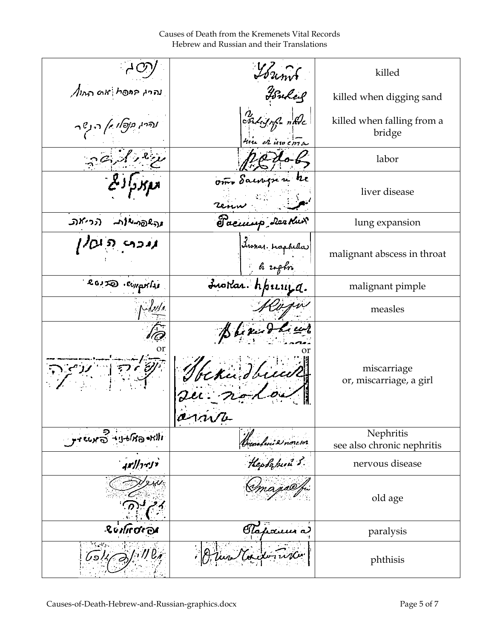Causes of Death from the Kremenets Vital Records Hebrew and Russian and their Translations

|                                             | Trums                               | killed                                  |
|---------------------------------------------|-------------------------------------|-----------------------------------------|
| $\sqrt{n_{00}}$ מא מסח (החו                 | Fonder                              | killed when digging sand                |
| עדיין <i>בןפאו ז'ן</i> די ג <sup>ין</sup> ד | Indisophen Ale<br>time et une entre | killed when falling from a<br>bridge    |
|                                             |                                     | labor                                   |
|                                             | om Sacregue he                      | liver disease                           |
| רכי את.<br>مرجه@مبلالهم                     | Sacurep Dealur                      | lung expansion                          |
| גנכתי העלן                                  | Lunas raphelas                      | malignant abscess in throat             |
| ROUJO · EUITATAI                            | Inordan. hpicinga.                  | malignant pimple                        |
|                                             |                                     | measles                                 |
|                                             | Bleken<br>beka dhuw<br>$a$ $\mu$    | miscarriage<br>or, miscarriage, a girl  |
| ᠂᠂ᡕᡑᡊᢐ᠆ᡁᢆᢣᠾ᠘                                |                                     | Nephritis<br>see also chronic nephritis |
| ' <i>יציר  זו</i> ן                         | Henslini 2 novem.<br>Hephini 2      | nervous disease                         |
|                                             |                                     | old age                                 |
| Ruiliroroi                                  | Clapoum a                           | paralysis                               |
|                                             |                                     | phthisis                                |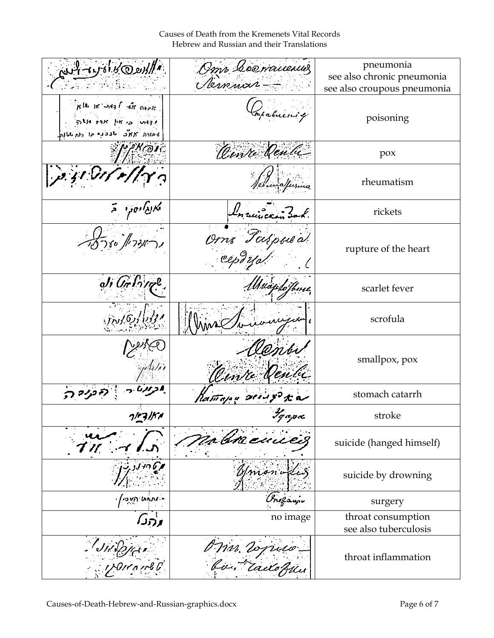Causes of Death from the Kremenets Vital Records Hebrew and Russian and their Translations

| م الارون كو الموروم المحلي                                                                              | Omr Coomanculus                     | pneumonia<br>see also chronic pneumonia     |
|---------------------------------------------------------------------------------------------------------|-------------------------------------|---------------------------------------------|
|                                                                                                         | Remmars-                            | see also croupous pneumonia                 |
| $K^{[k]}$ in and $\int f$ in maple<br>sitte part pr is wight<br>محادره كالمؤجد بالمقفية حاد دام بالمالم | Impabilicas q.                      | poisoning                                   |
| <b>PKOIE</b>                                                                                            | Oinre Venta                         | pox                                         |
| $\mu$ sidir // $\gamma$                                                                                 | edunatusina                         | rheumatism                                  |
| א <i>ו<sub>נא</sub>ו<sub>יסקי</sub> ב</i>                                                               | Lurincan 30                         | rickets                                     |
| 15780 /173151                                                                                           | Om Taspusa                          | rupture of the heart                        |
| $J$ , $G$ r $I$ $\gamma$ r $l$ ,                                                                        | Maiphothme                          | scarlet fever                               |
| $J_{\mathcal{N}}/G_{\mathcal{N}}$                                                                       |                                     | scrofula                                    |
|                                                                                                         | Ounre Deube                         | smallpox, pox                               |
|                                                                                                         | Ratitajou servy ta                  | stomach catarrh                             |
| ואורביור                                                                                                | Удара<br>$\boldsymbol{\mathcal{F}}$ | stroke                                      |
|                                                                                                         | za Gracius                          | suicide (hanged himself)                    |
|                                                                                                         | nioni                               | suicide by drowning                         |
| 'คุตา แก่งท.∗                                                                                           |                                     | surgery                                     |
| ∧ַרהו                                                                                                   | no image                            | throat consumption<br>see also tuberculosis |
| Jildyan                                                                                                 | O War Vogruw                        | throat inflammation                         |